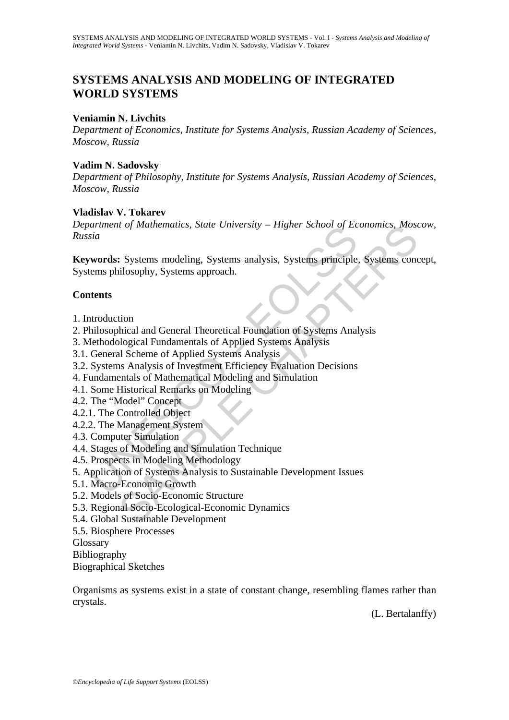# **SYSTEMS ANALYSIS AND MODELING OF INTEGRATED WORLD SYSTEMS**

## **Veniamin N. Livchits**

*Department of Economics, Institute for Systems Analysis, Russian Academy of Sciences, Moscow, Russia* 

### **Vadim N. Sadovsky**

*Department of Philosophy, Institute for Systems Analysis, Russian Academy of Sciences, Moscow, Russia* 

## **Vladislav V. Tokarev**

*Department of Mathematics, State University – Higher School of Economics, Moscow, Russia* 

UNESCO – EOLSS If of *Mathematics*, *State University* – *Higher school of Economics, Mose*<br>
Systems modeling, Systems analysis, Systems principle, Systems condiosophy, Systems approach.<br>
Exidence and General Theoretical Foundation of **Keywords:** Systems modeling, Systems analysis, Systems principle, Systems concept, Systems philosophy, Systems approach.

# **Contents**

- 1. Introduction
- 2. Philosophical and General Theoretical Foundation of Systems Analysis
- 3. Methodological Fundamentals of Applied Systems Analysis
- 3.1. General Scheme of Applied Systems Analysis
- 3.2. Systems Analysis of Investment Efficiency Evaluation Decisions
- 4. Fundamentals of Mathematical Modeling and Simulation
- 4.1. Some Historical Remarks on Modeling
- 4.2. The "Model" Concept
- 4.2.1. The Controlled Object
- 4.2.2. The Management System
- 4.3. Computer Simulation
- 4.4. Stages of Modeling and Simulation Technique
- 4.5. Prospects in Modeling Methodology
- 5. Application of Systems Analysis to Sustainable Development Issues
- 5.1. Macro-Economic Growth
- 5.2. Models of Socio-Economic Structure
- 5.3. Regional Socio-Ecological-Economic Dynamics
- 5.4. Global Sustainable Development
- 5.5. Biosphere Processes
- Glossary
- Bibliography
- Biographical Sketches

Organisms as systems exist in a state of constant change, resembling flames rather than crystals.

(L. Bertalanffy)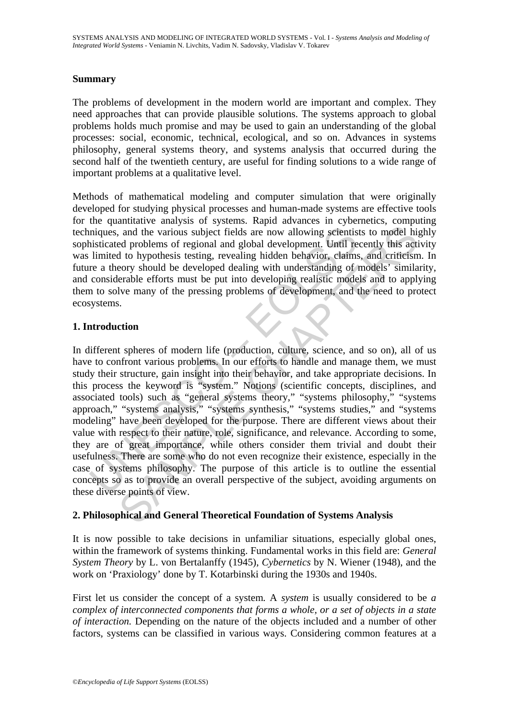## **Summary**

The problems of development in the modern world are important and complex. They need approaches that can provide plausible solutions. The systems approach to global problems holds much promise and may be used to gain an understanding of the global processes: social, economic, technical, ecological, and so on. Advances in systems philosophy, general systems theory, and systems analysis that occurred during the second half of the twentieth century, are useful for finding solutions to a wide range of important problems at a qualitative level.

Methods of mathematical modeling and computer simulation that were originally developed for studying physical processes and human-made systems are effective tools for the quantitative analysis of systems. Rapid advances in cybernetics, computing techniques, and the various subject fields are now allowing scientists to model highly sophisticated problems of regional and global development. Until recently this activity was limited to hypothesis testing, revealing hidden behavior, claims, and criticism. In future a theory should be developed dealing with understanding of models' similarity, and considerable efforts must be put into developing realistic models and to applying them to solve many of the pressing problems of development, and the need to protect ecosystems.

## **1. Introduction**

miques, and the various subject fields are now allowing scientis<br>insticated problems of regional and global development. Until re<br>limited to hypothesis testing, revealing hidden behavior, claims<br>re a theory should be devel and the various subject fields are now allowing scientists to model his<br>a and the various subject fields are now allowing scientists to model his<br>d problems of regional and global development. Until recently this act<br>d to In different spheres of modern life (production, culture, science, and so on), all of us have to confront various problems. In our efforts to handle and manage them, we must study their structure, gain insight into their behavior, and take appropriate decisions. In this process the keyword is "system." Notions (scientific concepts, disciplines, and associated tools) such as "general systems theory," "systems philosophy," "systems approach," "systems analysis," "systems synthesis," "systems studies," and "systems modeling" have been developed for the purpose. There are different views about their value with respect to their nature, role, significance, and relevance. According to some, they are of great importance, while others consider them trivial and doubt their usefulness. There are some who do not even recognize their existence, especially in the case of systems philosophy. The purpose of this article is to outline the essential concepts so as to provide an overall perspective of the subject, avoiding arguments on these diverse points of view.

### **2. Philosophical and General Theoretical Foundation of Systems Analysis**

It is now possible to take decisions in unfamiliar situations, especially global ones, within the framework of systems thinking. Fundamental works in this field are: *General System Theory* by L. von Bertalanffy (1945), *Cybernetics* by N. Wiener (1948), and the work on 'Praxiology' done by T. Kotarbinski during the 1930s and 1940s.

First let us consider the concept of a system*.* A *system* is usually considered to be *a complex of interconnected components that forms a whole, or a set of objects in a state of interaction.* Depending on the nature of the objects included and a number of other factors, systems can be classified in various ways. Considering common features at a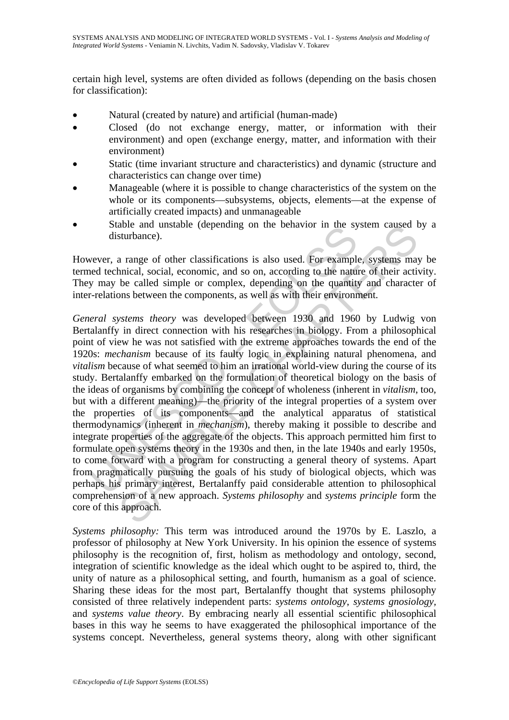certain high level, systems are often divided as follows (depending on the basis chosen for classification):

- Natural (created by nature) and artificial (human-made)
- Closed (do not exchange energy, matter, or information with their environment) and open (exchange energy, matter, and information with their environment)
- Static (time invariant structure and characteristics) and dynamic (structure and characteristics can change over time)
- Manageable (where it is possible to change characteristics of the system on the whole or its components—subsystems, objects, elements—at the expense of artificially created impacts) and unmanageable
- Stable and unstable (depending on the behavior in the system caused by a disturbance).

However, a range of other classifications is also used. For example, systems may be termed technical, social, economic, and so on, according to the nature of their activity. They may be called simple or complex, depending on the quantity and character of inter-relations between the components, as well as with their environment.

stable and unstable (depending of the behavior in the sy<br>disturbance).<br>wever, a range of other classifications is also used. For example<br>ed technical, social, economic, and so on, according to the nature<br>y may be called si able and unstable (depending on the behavior in the system caused is<br>turbance).<br>
a range of other classifications is also used. For example, systems main<br>
chincial, social, economic, and so on, according to the nature of t *General systems theory* was developed between 1930 and 1960 by Ludwig von Bertalanffy in direct connection with his researches in biology. From a philosophical point of view he was not satisfied with the extreme approaches towards the end of the 1920s: *mechanism* because of its faulty logic in explaining natural phenomena, and *vitalism* because of what seemed to him an irrational world-view during the course of its study. Bertalanffy embarked on the formulation of theoretical biology on the basis of the ideas of organisms by combining the concept of wholeness (inherent in *vitalism*, too, but with a different meaning)—the priority of the integral properties of a system over the properties of its components—and the analytical apparatus of statistical thermodynamics (inherent in *mechanism*), thereby making it possible to describe and integrate properties of the aggregate of the objects. This approach permitted him first to formulate open systems theory in the 1930s and then, in the late 1940s and early 1950s, to come forward with a program for constructing a general theory of systems. Apart from pragmatically pursuing the goals of his study of biological objects, which was perhaps his primary interest, Bertalanffy paid considerable attention to philosophical comprehension of a new approach. *Systems philosophy* and *systems principle* form the core of this approach.

*Systems philosophy:* This term was introduced around the 1970s by E. Laszlo, a professor of philosophy at New York University. In his opinion the essence of systems philosophy is the recognition of, first, holism as methodology and ontology, second, integration of scientific knowledge as the ideal which ought to be aspired to, third, the unity of nature as a philosophical setting, and fourth, humanism as a goal of science. Sharing these ideas for the most part, Bertalanffy thought that systems philosophy consisted of three relatively independent parts: *systems ontology*, *systems gnosiology,* and *systems value theory*. By embracing nearly all essential scientific philosophical bases in this way he seems to have exaggerated the philosophical importance of the systems concept. Nevertheless, general systems theory, along with other significant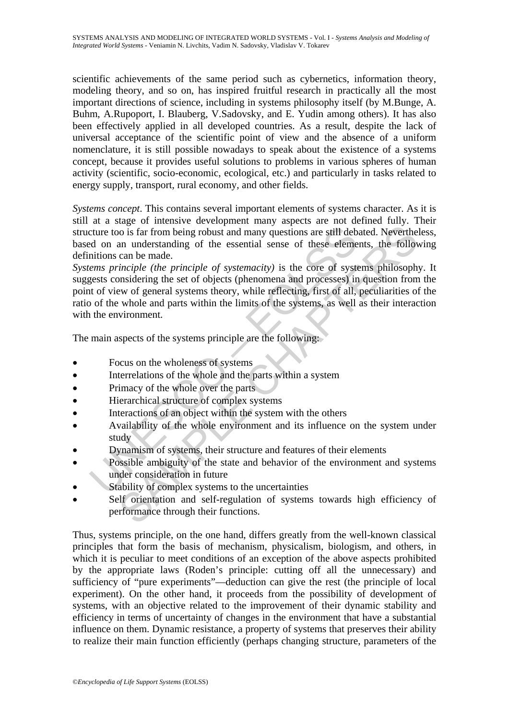scientific achievements of the same period such as cybernetics, information theory, modeling theory, and so on, has inspired fruitful research in practically all the most important directions of science, including in systems philosophy itself (by M.Bunge, A. Buhm, A.Rupoport, I. Blauberg, V.Sadovsky, and E. Yudin among others). It has also been effectively applied in all developed countries. As a result, despite the lack of universal acceptance of the scientific point of view and the absence of a uniform nomenclature, it is still possible nowadays to speak about the existence of a systems concept, because it provides useful solutions to problems in various spheres of human activity (scientific, socio-economic, ecological, etc.) and particularly in tasks related to energy supply, transport, rural economy, and other fields.

*Systems concept*. This contains several important elements of systems character. As it is still at a stage of intensive development many aspects are not defined fully. Their structure too is far from being robust and many questions are still debated. Nevertheless, based on an understanding of the essential sense of these elements, the following definitions can be made.

cture too is far from being robust and many questions are still debtary on an understanding of the essential sense of these elementions can be made.<br>
ems principle (the principle of systemacity) is the core of systems cons is to is far from being robust and many questions are still debated. Neverthelen understanding of the essential sense of these elements, the follow can be made.<br>
En understanding of the essential sense of these elements, t *Systems principle (the principle of systemacity)* is the core of systems philosophy. It suggests considering the set of objects (phenomena and processes) in question from the point of view of general systems theory, while reflecting, first of all, peculiarities of the ratio of the whole and parts within the limits of the systems, as well as their interaction with the environment.

The main aspects of the systems principle are the following:

- Focus on the wholeness of systems
- Interrelations of the whole and the parts within a system
- Primacy of the whole over the parts
- Hierarchical structure of complex systems
- Interactions of an object within the system with the others
- Availability of the whole environment and its influence on the system under study
- Dynamism of systems, their structure and features of their elements
- Possible ambiguity of the state and behavior of the environment and systems under consideration in future
- Stability of complex systems to the uncertainties
- Self orientation and self-regulation of systems towards high efficiency of performance through their functions.

Thus, systems principle, on the one hand, differs greatly from the well-known classical principles that form the basis of mechanism, physicalism, biologism, and others, in which it is peculiar to meet conditions of an exception of the above aspects prohibited by the appropriate laws (Roden's principle: cutting off all the unnecessary) and sufficiency of "pure experiments"—deduction can give the rest (the principle of local experiment). On the other hand, it proceeds from the possibility of development of systems, with an objective related to the improvement of their dynamic stability and efficiency in terms of uncertainty of changes in the environment that have a substantial influence on them. Dynamic resistance, a property of systems that preserves their ability to realize their main function efficiently (perhaps changing structure, parameters of the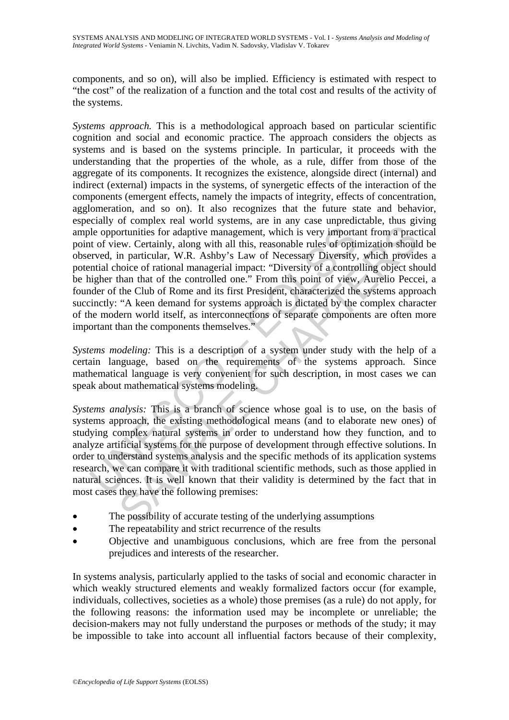components, and so on), will also be implied. Efficiency is estimated with respect to "the cost" of the realization of a function and the total cost and results of the activity of the systems.

le opportunities for adaptive management, which is very importated to fiview. Certainly, along with all this, reasonable rules of optinties and the controlled one. "This is expansible rules of optintial choice of rational provides for adaptive management, which is very important from a prace w. Certainly, along with all this, reasonable rules of optimization should provide eve. Certainly, along with all this, reasonable rules of optimizatio *Systems approach.* This is a methodological approach based on particular scientific cognition and social and economic practice. The approach considers the objects as systems and is based on the systems principle. In particular, it proceeds with the understanding that the properties of the whole, as a rule, differ from those of the aggregate of its components. It recognizes the existence, alongside direct (internal) and indirect (external) impacts in the systems, of synergetic effects of the interaction of the components (emergent effects, namely the impacts of integrity, effects of concentration, agglomeration, and so on). It also recognizes that the future state and behavior, especially of complex real world systems, are in any case unpredictable, thus giving ample opportunities for adaptive management, which is very important from a practical point of view. Certainly, along with all this, reasonable rules of optimization should be observed, in particular, W.R. Ashby's Law of Necessary Diversity, which provides a potential choice of rational managerial impact: "Diversity of a controlling object should be higher than that of the controlled one." From this point of view, Aurelio Peccei, a founder of the Club of Rome and its first President, characterized the systems approach succinctly: "A keen demand for systems approach is dictated by the complex character of the modern world itself, as interconnections of separate components are often more important than the components themselves."

*Systems modeling:* This is a description of a system under study with the help of a certain language, based on the requirements of the systems approach. Since mathematical language is very convenient for such description, in most cases we can speak about mathematical systems modeling.

*Systems analysis:* This is a branch of science whose goal is to use, on the basis of systems approach, the existing methodological means (and to elaborate new ones) of studying complex natural systems in order to understand how they function, and to analyze artificial systems for the purpose of development through effective solutions. In order to understand systems analysis and the specific methods of its application systems research, we can compare it with traditional scientific methods, such as those applied in natural sciences. It is well known that their validity is determined by the fact that in most cases they have the following premises:

- The possibility of accurate testing of the underlying assumptions
- The repeatability and strict recurrence of the results
- Objective and unambiguous conclusions, which are free from the personal prejudices and interests of the researcher.

In systems analysis, particularly applied to the tasks of social and economic character in which weakly structured elements and weakly formalized factors occur (for example, individuals, collectives, societies as a whole) those premises (as a rule) do not apply, for the following reasons: the information used may be incomplete or unreliable; the decision-makers may not fully understand the purposes or methods of the study; it may be impossible to take into account all influential factors because of their complexity,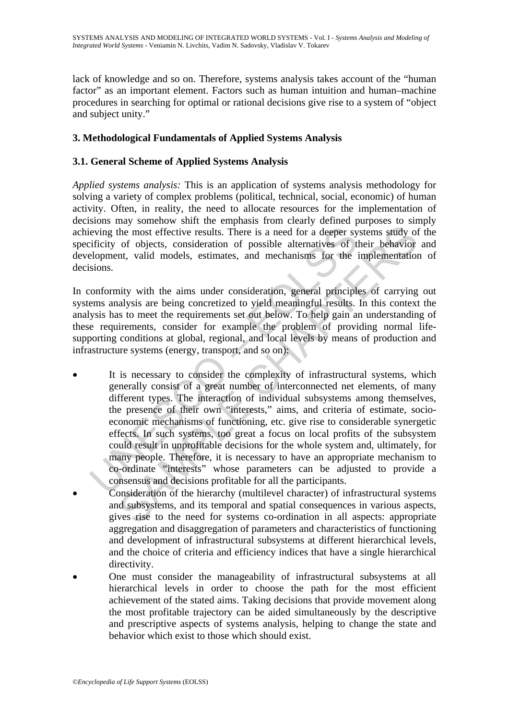lack of knowledge and so on. Therefore, systems analysis takes account of the "human factor" as an important element. Factors such as human intuition and human–machine procedures in searching for optimal or rational decisions give rise to a system of "object and subject unity."

# **3. Methodological Fundamentals of Applied Systems Analysis**

# **3.1. General Scheme of Applied Systems Analysis**

*Applied systems analysis:* This is an application of systems analysis methodology for solving a variety of complex problems (political, technical, social, economic) of human activity. Often, in reality, the need to allocate resources for the implementation of decisions may somehow shift the emphasis from clearly defined purposes to simply achieving the most effective results. There is a need for a deeper systems study of the specificity of objects, consideration of possible alternatives of their behavior and development, valid models, estimates, and mechanisms for the implementation of decisions.

In conformity with the aims under consideration, general principles of carrying out systems analysis are being concretized to yield meaningful results. In this context the analysis has to meet the requirements set out below. To help gain an understanding of these requirements, consider for example the problem of providing normal lifesupporting conditions at global, regional, and local levels by means of production and infrastructure systems (energy, transport, and so on):

- eving the most effective results. There is a need for a deeper syificity of objects, consideration of possible alternatives of the isloment, valid models, estimates, and mechanisms for the isloms.<br>
Conformity with the aims The most effective results. There is a need for a deeper systems study of objects, consideration of possible alternatives of their behavior of possible alternatives of their behavior of volicets, consideration of possible It is necessary to consider the complexity of infrastructural systems, which generally consist of a great number of interconnected net elements, of many different types. The interaction of individual subsystems among themselves, the presence of their own "interests," aims, and criteria of estimate, socioeconomic mechanisms of functioning, etc. give rise to considerable synergetic effects. In such systems, too great a focus on local profits of the subsystem could result in unprofitable decisions for the whole system and, ultimately, for many people. Therefore, it is necessary to have an appropriate mechanism to co-ordinate "interests" whose parameters can be adjusted to provide a consensus and decisions profitable for all the participants.
- Consideration of the hierarchy (multilevel character) of infrastructural systems and subsystems, and its temporal and spatial consequences in various aspects, gives rise to the need for systems co-ordination in all aspects: appropriate aggregation and disaggregation of parameters and characteristics of functioning and development of infrastructural subsystems at different hierarchical levels, and the choice of criteria and efficiency indices that have a single hierarchical directivity.
- One must consider the manageability of infrastructural subsystems at all hierarchical levels in order to choose the path for the most efficient achievement of the stated aims. Taking decisions that provide movement along the most profitable trajectory can be aided simultaneously by the descriptive and prescriptive aspects of systems analysis, helping to change the state and behavior which exist to those which should exist.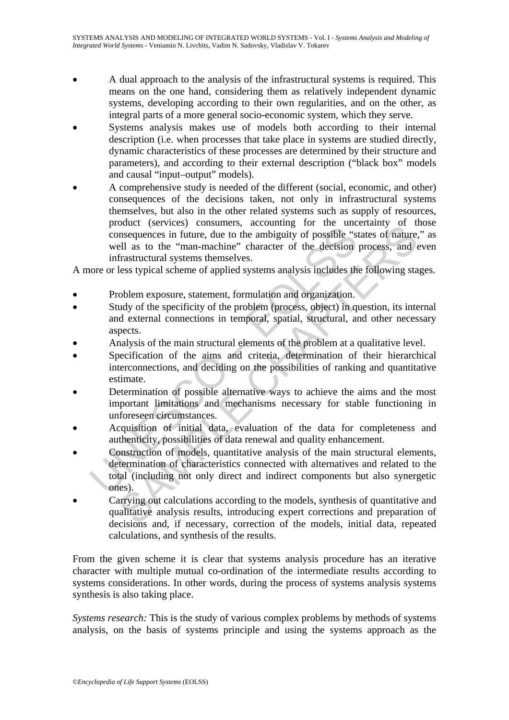- A dual approach to the analysis of the infrastructural systems is required. This means on the one hand, considering them as relatively independent dynamic systems, developing according to their own regularities, and on the other, as integral parts of a more general socio-economic system, which they serve.
- Systems analysis makes use of models both according to their internal description (i.e. when processes that take place in systems are studied directly, dynamic characteristics of these processes are determined by their structure and parameters), and according to their external description ("black box" models and causal "input–output" models).
- A comprehensive study is needed of the different (social, economic, and other) consequences of the decisions taken, not only in infrastructural systems themselves, but also in the other related systems such as supply of resources, product (services) consumers, accounting for the uncertainty of those consequences in future, due to the ambiguity of possible "states of nature," as well as to the "man-machine" character of the decision process, and even infrastructural systems themselves.

A more or less typical scheme of applied systems analysis includes the following stages.

- Problem exposure, statement, formulation and organization.
- Study of the specificity of the problem (process, object) in question, its internal and external connections in temporal, spatial, structural, and other necessary aspects.
- Analysis of the main structural elements of the problem at a qualitative level.
- Specification of the aims and criteria, determination of their hierarchical interconnections, and deciding on the possibilities of ranking and quantitative estimate.
- Determination of possible alternative ways to achieve the aims and the most important limitations and mechanisms necessary for stable functioning in unforeseen circumstances.
- Acquisition of initial data, evaluation of the data for completeness and authenticity, possibilities of data renewal and quality enhancement.
- product (services) consumers, accounting for the dimensioner consequences in future, due to the ambiguity of possible "simple "simple "simple "simple "simple "simple "simple "simple "simple "simple "simple "simple "simple bound (services) consumers, accouning for the uncertainty of a<br>sinsequences in future, due to the ambiguity of possible "states of nature,<br>ell as to the "man-machine" character of the decision process, and c<br>frastructural • Construction of models, quantitative analysis of the main structural elements, determination of characteristics connected with alternatives and related to the total (including not only direct and indirect components but also synergetic ones).
- Carrying out calculations according to the models, synthesis of quantitative and qualitative analysis results, introducing expert corrections and preparation of decisions and, if necessary, correction of the models, initial data, repeated calculations, and synthesis of the results.

From the given scheme it is clear that systems analysis procedure has an iterative character with multiple mutual co-ordination of the intermediate results according to systems considerations. In other words, during the process of systems analysis systems synthesis is also taking place.

*Systems research:* This is the study of various complex problems by methods of systems analysis, on the basis of systems principle and using the systems approach as the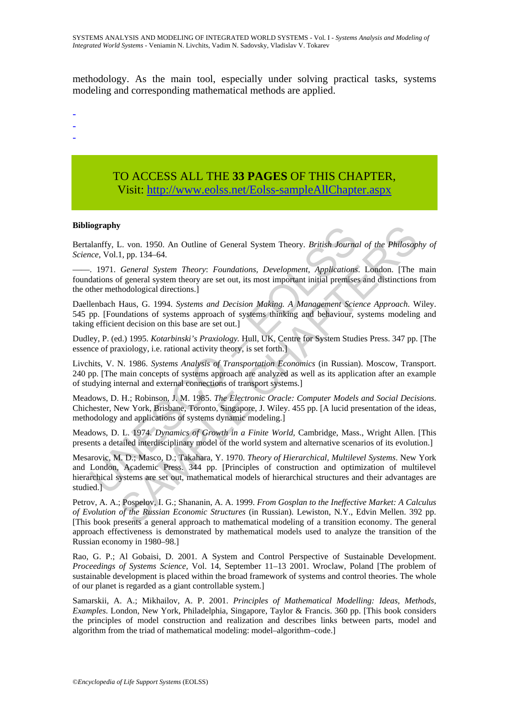methodology. As the main tool, especially under solving practical tasks, systems modeling and corresponding mathematical methods are applied.

-

- -
- -

# TO ACCESS ALL THE **33 PAGES** OF THIS CHAPTER, Visit: [http://www.eolss.net/Eolss-sampleAllChapter.aspx](https://www.eolss.net/ebooklib/sc_cart.aspx?File=E1-26-00)

#### **Bibliography**

Bertalanffy, L. von. 1950. An Outline of General System Theory. *British Journal of the Philosophy of Science*, Vol.1, pp. 134–64.

––––. 1971. *General System Theory*: *Foundations, Development, Applications*. London. [The main foundations of general system theory are set out, its most important initial premises and distinctions from the other methodological directions.]

Daellenbach Haus, G. 1994. *Systems and Decision Making. A Management Science Approach*. Wiley. 545 pp. [Foundations of systems approach of systems thinking and behaviour, systems modeling and taking efficient decision on this base are set out.]

Dudley, P. (ed.) 1995. *Kotarbinski's Praxiology.* Hull, UK, Centre for System Studies Press. 347 pp. [The essence of praxiology, i.e. rational activity theory, is set forth.]

Livchits, V. N. 1986. *Systems Analysis of Transportation Economics* (in Russian). Moscow, Transport. 240 pp. [The main concepts of systems approach are analyzed as well as its application after an example of studying internal and external connections of transport systems.]

Meadows, D. H.; Robinson, J. M. 1985. *The Electronic Oracle: Computer Models and Social Decisions*. Chichester, New York, Brisbane, Toronto, Singapore, J. Wiley. 455 pp. [A lucid presentation of the ideas, methodology and applications of systems dynamic modeling.]

Meadows, D. L. 1974. *Dynamics of Growth in a Finite World,* Cambridge, Mass., Wright Allen. [This presents a detailed interdisciplinary model of the world system and alternative scenarios of its evolution.]

nography<br>
indiffy, L. von. 1950. An Outline of General System Theory. *British Journa*<br>
icc, Vol.1, pp. 134–64.<br>
1971. *General System Theory: Foundations, Development, Applications*<br>
dations of general system theory are s y<br>
1. von. 1950. An Outline of General System Theory. *British Journal of the Philosop*<br>
1. pp. 134–64.<br>
1. pp. 134–64.<br>
6 General System Theory: *Foundations, Development. Applications*. London. [The<br>
of general system th Mesarovic, M. D.; Masco, D.; Takahara, Y. 1970. *Theory of Hierarchical, Multilevel Systems*. New York and London, Academic Press. 344 pp. [Principles of construction and optimization of multilevel hierarchical systems are set out, mathematical models of hierarchical structures and their advantages are studied.]

Petrov, A. A.; Pospelov, I. G.; Shananin, A. A. 1999. *From Gosplan to the Ineffective Market: A Calculus of Evolution of the Russian Economic Structures* (in Russian). Lewiston, N.Y., Edvin Mellen. 392 pp. [This book presents a general approach to mathematical modeling of a transition economy. The general approach effectiveness is demonstrated by mathematical models used to analyze the transition of the Russian economy in 1980–98.]

Rao, G. P.; Al Gobaisi, D. 2001. A System and Control Perspective of Sustainable Development. *Proceedings of Systems Science,* Vol. 14, September 11–13 2001. Wroclaw, Poland [The problem of sustainable development is placed within the broad framework of systems and control theories. The whole of our planet is regarded as a giant controllable system.]

Samarskii, A. A.; Mikhailov, A. P. 2001. *Principles of Mathematical Modelling: Ideas, Methods, Examples*. London, New York, Philadelphia, Singapore, Taylor & Francis. 360 pp. [This book considers the principles of model construction and realization and describes links between parts, model and algorithm from the triad of mathematical modeling: model–algorithm–code.]